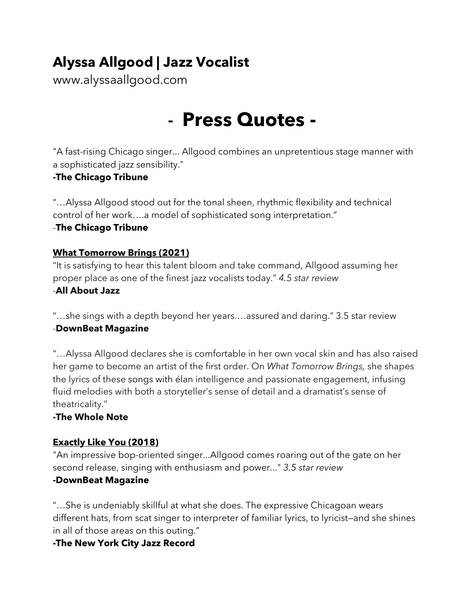# **Alyssa Allgood | Jazz Vocalist**

www.alyssaallgood.com

# - **Press Quotes -**

"A fast-rising Chicago singer... Allgood combines an unpretentious stage manner with a sophisticated jazz sensibility."

# **-The Chicago Tribune**

"…Alyssa Allgood stood out for the tonal sheen, rhythmic flexibility and technical control of her work….a model of sophisticated song interpretation."

#### -**The Chicago Tribune**

# **What Tomorrow Brings (2021)**

"It is satisfying to hear this talent bloom and take command, Allgood assuming her proper place as one of the finest jazz vocalists today." *4.5 star review*

#### -**All About Jazz**

"…she sings with a depth beyond her years.…assured and daring." 3.5 star review -**DownBeat Magazine**

"…Alyssa Allgood declares she is comfortable in her own vocal skin and has also raised her game to become an artist of the first order. On *What Tomorrow Brings,* she shapes the lyrics of these songs with élan intelligence and passionate engagement, infusing fluid melodies with both a storyteller's sense of detail and a dramatist's sense of theatricality."

# **-The Whole Note**

# **Exactly Like You (2018)**

"An impressive bop-oriented singer...Allgood comes roaring out of the gate on her second release, singing with enthusiasm and power..." *3.5 star review* **-DownBeat Magazine**

"…She is undeniably skillful at what she does. The expressive Chicagoan wears different hats, from scat singer to interpreter of familiar lyrics, to lyricist-and she shines in all of those areas on this outing."

# **-The New York City Jazz Record**